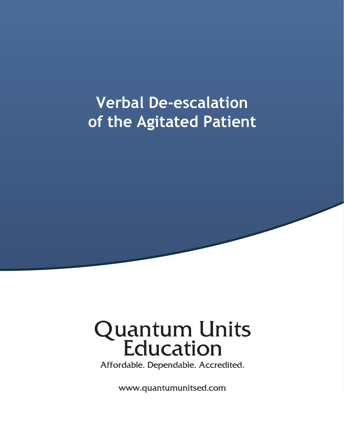## **Verbal De-escalation** of the Agitated Patient

# **Quantum Units<br>Education**

Affordable. Dependable. Accredited.

www.quantumunitsed.com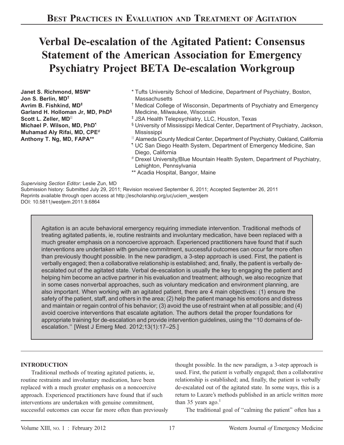### Verbal De-escalation of the Agitated Patient: Consensus Statement of the American Association for Emergency Psychiatry Project BETA De-escalation Workgroup

Janet S. Richmond, MSW\* Jon S. Berlin, MD† Avrim B. Fishkind, MD‡ Garland H. Holloman Jr, MD, PhD§ Scott L. Zeller, MD<sup>II</sup> Michael P. Wilson, MD, PhD} Muhamad Aly Rifai, MD, CPE# Anthony T. Ng, MD, FAPA\*\*

- \* Tufts University School of Medicine, Department of Psychiatry, Boston, **Massachusetts**
- † Medical College of Wisconsin, Departments of Psychiatry and Emergency Medicine, Milwaukee, Wisconsin
- ‡ JSA Health Telepsychiatry, LLC, Houston, Texas
- § University of Mississippi Medical Center, Department of Psychiatry, Jackson, Mississippi
- <sup>II</sup> Alameda County Medical Center, Department of Psychiatry, Oakland, California
- } UC San Diego Health System, Department of Emergency Medicine, San Diego, California
- # Drexel University/Blue Mountain Health System, Department of Psychiatry, Lehighton, Pennsylvania
- \*\* Acadia Hospital, Bangor, Maine

Supervising Section Editor: Leslie Zun, MD

Submission history: Submitted July 29, 2011; Revision received September 6, 2011; Accepted September 26, 2011 Reprints available through open access at http://escholarship.org/uc/uciem\_westjem DOI: 10.5811/westjem.2011.9.6864

Agitation is an acute behavioral emergency requiring immediate intervention. Traditional methods of treating agitated patients, ie, routine restraints and involuntary medication, have been replaced with a much greater emphasis on a noncoercive approach. Experienced practitioners have found that if such interventions are undertaken with genuine commitment, successful outcomes can occur far more often than previously thought possible. In the new paradigm, a 3-step approach is used. First, the patient is verbally engaged; then a collaborative relationship is established; and, finally, the patient is verbally deescalated out of the agitated state. Verbal de-escalation is usually the key to engaging the patient and helping him become an active partner in his evaluation and treatment; although, we also recognize that in some cases nonverbal approaches, such as voluntary medication and environment planning, are also important. When working with an agitated patient, there are 4 main objectives: (1) ensure the safety of the patient, staff, and others in the area; (2) help the patient manage his emotions and distress and maintain or regain control of his behavior; (3) avoid the use of restraint when at all possible; and (4) avoid coercive interventions that escalate agitation. The authors detail the proper foundations for appropriate training for de-escalation and provide intervention guidelines, using the ''10 domains of deescalation.'' [West J Emerg Med. 2012;13(1):17–25.]

#### INTRODUCTION

Traditional methods of treating agitated patients, ie, routine restraints and involuntary medication, have been replaced with a much greater emphasis on a noncoercive approach. Experienced practitioners have found that if such interventions are undertaken with genuine commitment, successful outcomes can occur far more often than previously

thought possible. In the new paradigm, a 3-step approach is used. First, the patient is verbally engaged; then a collaborative relationship is established; and, finally, the patient is verbally de-escalated out of the agitated state. In some ways, this is a return to Lazare's methods published in an article written more than 35 years ago. $<sup>1</sup>$ </sup>

The traditional goal of "calming the patient" often has a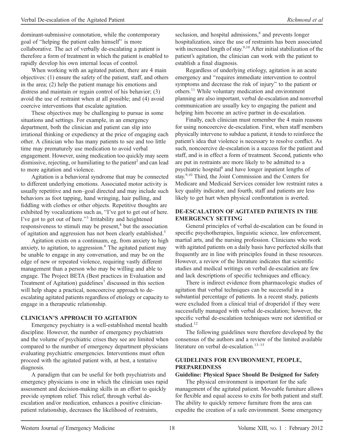dominant-submissive connotation, while the contemporary goal of ''helping the patient calm himself'' is more collaborative. The act of verbally de-escalating a patient is therefore a form of treatment in which the patient is enabled to rapidly develop his own internal locus of control.

When working with an agitated patient, there are 4 main objectives: (1) ensure the safety of the patient, staff, and others in the area; (2) help the patient manage his emotions and distress and maintain or regain control of his behavior; (3) avoid the use of restraint when at all possible; and (4) avoid coercive interventions that escalate agitation.

These objectives may be challenging to pursue in some situations and settings. For example, in an emergency department, both the clinician and patient can slip into irrational thinking or expediency at the price of engaging each other. A clinician who has many patients to see and too little time may prematurely use medication to avoid verbal engagement. However, using medication too quickly may seem dismissive, rejecting, or humiliating to the patient<sup>2</sup> and can lead to more agitation and violence.

Agitation is a behavioral syndrome that may be connected to different underlying emotions. Associated motor activity is usually repetitive and non–goal directed and may include such behaviors as foot tapping, hand wringing, hair pulling, and fiddling with clothes or other objects. Repetitive thoughts are exhibited by vocalizations such as, "I've got to get out of here. I've got to get out of here.''<sup>3</sup> Irritability and heightened responsiveness to stimuli may be present,<sup>4</sup> but the association of agitation and aggression has not been clearly established.<sup>5</sup>

Agitation exists on a continuum, eg, from anxiety to high anxiety, to agitation, to aggression.<sup>6</sup> The agitated patient may be unable to engage in any conversation, and may be on the edge of new or repeated violence, requiring vastly different management than a person who may be willing and able to engage. The Project BETA (Best practices in Evaluation and Treatment of Agitation) guidelines<sup>7</sup> discussed in this section will help shape a practical, noncoercive approach to deescalating agitated patients regardless of etiology or capacity to engage in a therapeutic relationship.

#### CLINICIAN'S APPROACH TO AGITATION

Emergency psychiatry is a well-established mental health discipline. However, the number of emergency psychiatrists and the volume of psychiatric crises they see are limited when compared to the number of emergency department physicians evaluating psychiatric emergencies. Interventions must often proceed with the agitated patient with, at best, a tentative diagnosis.

A paradigm that can be useful for both psychiatrists and emergency physicians is one in which the clinician uses rapid assessment and decision-making skills in an effort to quickly provide symptom relief. This relief, through verbal deescalation and/or medication, enhances a positive clinicianpatient relationship, decreases the likelihood of restraints,

seclusion, and hospital admissions,<sup>8</sup> and prevents longer hospitalization, since the use of restraints has been associated with increased length of stay.<sup>9,10</sup> After initial stabilization of the patient's agitation, the clinician can work with the patient to establish a final diagnosis.

Regardless of underlying etiology, agitation is an acute emergency and ''requires immediate intervention to control symptoms and decrease the risk of injury'' to the patient or others.<sup>11</sup> While voluntary medication and environment planning are also important, verbal de-escalation and nonverbal communication are usually key to engaging the patient and helping him become an active partner in de-escalation.

Finally, each clinician must remember the 4 main reasons for using noncoercive de-escalation. First, when staff members physically intervene to subdue a patient, it tends to reinforce the patient's idea that violence is necessary to resolve conflict. As such, noncoercive de-escalation is a success for the patient and staff, and is in effect a form of treatment. Second, patients who are put in restraints are more likely to be admitted to a psychiatric hospital<sup>8</sup> and have longer inpatient lengths of stay.<sup>9,10</sup> Third, the Joint Commission and the Centers for Medicare and Medicaid Services consider low restraint rates a key quality indicator, and fourth, staff and patients are less likely to get hurt when physical confrontation is averted.

#### DE-ESCALATION OF AGITATED PATIENTS IN THE EMERGENCY SETTING

General principles of verbal de-escalation can be found in specific psychotherapies, linguistic science, law enforcement, martial arts, and the nursing profession. Clinicians who work with agitated patients on a daily basis have perfected skills that frequently are in line with principles found in these resources. However, a review of the literature indicates that scientific studies and medical writings on verbal de-escalation are few and lack descriptions of specific techniques and efficacy.

There is indirect evidence from pharmacologic studies of agitation that verbal techniques can be successful in a substantial percentage of patients. In a recent study, patients were excluded from a clinical trial of droperidol if they were successfully managed with verbal de-escalation; however, the specific verbal de-escalation techniques were not identified or studied.<sup>12</sup>

The following guidelines were therefore developed by the consensus of the authors and a review of the limited available literature on verbal de-escalation.<sup>13–15</sup>

#### GUIDELINES FOR ENVIRONMENT, PEOPLE, PREPAREDNESS

#### Guideline: Physical Space Should Be Designed for Safety

The physical environment is important for the safe management of the agitated patient. Moveable furniture allows for flexible and equal access to exits for both patient and staff. The ability to quickly remove furniture from the area can expedite the creation of a safe environment. Some emergency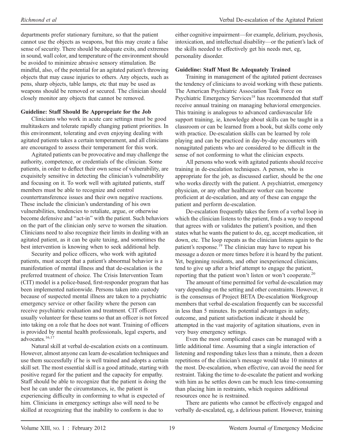departments prefer stationary furniture, so that the patient cannot use the objects as weapons, but this may create a false sense of security. There should be adequate exits, and extremes in sound, wall color, and temperature of the environment should be avoided to minimize abrasive sensory stimulation. Be mindful, also, of the potential for an agitated patient's throwing objects that may cause injuries to others. Any objects, such as pens, sharp objects, table lamps, etc that may be used as weapons should be removed or secured. The clinician should closely monitor any objects that cannot be removed.

#### Guideline: Staff Should Be Appropriate for the Job

Clinicians who work in acute care settings must be good multitaskers and tolerate rapidly changing patient priorities. In this environment, tolerating and even enjoying dealing with agitated patients takes a certain temperament, and all clinicians are encouraged to assess their temperament for this work.

Agitated patients can be provocative and may challenge the authority, competence, or credentials of the clinician. Some patients, in order to deflect their own sense of vulnerability, are exquisitely sensitive in detecting the clinician's vulnerability and focusing on it. To work well with agitated patients, staff members must be able to recognize and control countertransference issues and their own negative reactions. These include the clinician's understanding of his own vulnerabilities, tendencies to retaliate, argue, or otherwise become defensive and ''act-in'' with the patient. Such behaviors on the part of the clinician only serve to worsen the situation. Clinicians need to also recognize their limits in dealing with an agitated patient, as it can be quite taxing, and sometimes the best intervention is knowing when to seek additional help.

Security and police officers, who work with agitated patients, must accept that a patient's abnormal behavior is a manifestation of mental illness and that de-escalation is the preferred treatment of choice. The Crisis Intervention Team (CIT) model is a police-based, first-responder program that has been implemented nationwide. Persons taken into custody because of suspected mental illness are taken to a psychiatric emergency service or other facility where the person can receive psychiatric evaluation and treatment. CIT officers usually volunteer for these teams so that an officer is not forced into taking on a role that he does not want. Training of officers is provided by mental health professionals, legal experts, and advocates.16,17

Natural skill at verbal de-escalation exists on a continuum. However, almost anyone can learn de-escalation techniques and use them successfully if he is well trained and adopts a certain skill set. The most essential skill is a good attitude, starting with positive regard for the patient and the capacity for empathy. Staff should be able to recognize that the patient is doing the best he can under the circumstances, ie, the patient is experiencing difficulty in conforming to what is expected of him. Clinicians in emergency settings also will need to be skilled at recognizing that the inability to conform is due to

either cognitive impairment—for example, delirium, psychosis, intoxication, and intellectual disability—or the patient's lack of the skills needed to effectively get his needs met, eg, personality disorder.

#### Guideline: Staff Must Be Adequately Trained

Training in management of the agitated patient decreases the tendency of clinicians to avoid working with these patients. The American Psychiatric Association Task Force on Psychiatric Emergency Services<sup>18</sup> has recommended that staff receive annual training on managing behavioral emergencies. This training is analogous to advanced cardiovascular life support training, ie, knowledge about skills can be taught in a classroom or can be learned from a book, but skills come only with practice. De-escalation skills can be learned by role playing and can be practiced in day-by-day encounters with nonagitated patients who are considered to be difficult in the sense of not conforming to what the clinician expects.

All persons who work with agitated patients should receive training in de-escalation techniques. A person, who is appropriate for the job, as discussed earlier, should be the one who works directly with the patient. A psychiatrist, emergency physician, or any other healthcare worker can become proficient at de-escalation, and any of these can engage the patient and perform de-escalation.

De-escalation frequently takes the form of a verbal loop in which the clinician listens to the patient, finds a way to respond that agrees with or validates the patient's position, and then states what he wants the patient to do, eg, accept medication, sit down, etc. The loop repeats as the clinician listens again to the patient's response.<sup>19</sup> The clinician may have to repeat his message a dozen or more times before it is heard by the patient. Yet, beginning residents, and other inexperienced clinicians, tend to give up after a brief attempt to engage the patient, reporting that the patient won't listen or won't cooperate.<sup>20</sup>

The amount of time permitted for verbal de-escalation may vary depending on the setting and other constraints. However, it is the consensus of Project BETA De-escalation Workgroup members that verbal de-escalation frequently can be successful in less than 5 minutes. Its potential advantages in safety, outcome, and patient satisfaction indicate it should be attempted in the vast majority of agitation situations, even in very busy emergency settings.

Even the most complicated cases can be managed with a little additional time. Assuming that a single interaction of listening and responding takes less than a minute, then a dozen repetitions of the clinician's message would take 10 minutes at the most. De-escalation, when effective, can avoid the need for restraint. Taking the time to de-escalate the patient and working with him as he settles down can be much less time-consuming than placing him in restraints, which requires additional resources once he is restrained.

There are patients who cannot be effectively engaged and verbally de-escalated, eg, a delirious patient. However, training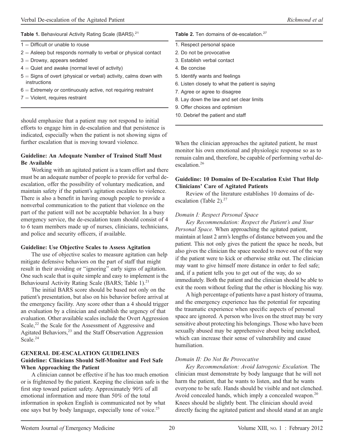#### Table 1. Behavioural Activity Rating Scale (BARS).<sup>21</sup>

- $1 =$  Difficult or unable to rouse
- $2 =$  Asleep but responds normally to verbal or physical contact
- $3$  = Drowsy, appears sedated
- $4 =$  Quiet and awake (normal level of activity)
- $5 =$  Signs of overt (physical or verbal) activity, calms down with instructions
- $6 =$  Extremely or continuously active, not requiring restraint
- $7 =$  Violent, requires restraint

should emphasize that a patient may not respond to initial efforts to engage him in de-escalation and that persistence is indicated, especially when the patient is not showing signs of further escalation that is moving toward violence.

#### Guideline: An Adequate Number of Trained Staff Must Be Available

Working with an agitated patient is a team effort and there must be an adequate number of people to provide for verbal deescalation, offer the possibility of voluntary medication, and maintain safety if the patient's agitation escalates to violence. There is also a benefit in having enough people to provide a nonverbal communication to the patient that violence on the part of the patient will not be acceptable behavior. In a busy emergency service, the de-escalation team should consist of 4 to 6 team members made up of nurses, clinicians, technicians, and police and security officers, if available.

#### Guideline: Use Objective Scales to Assess Agitation

The use of objective scales to measure agitation can help mitigate defensive behaviors on the part of staff that might result in their avoiding or ''ignoring'' early signs of agitation. One such scale that is quite simple and easy to implement is the Behavioural Activity Rating Scale (BARS; Table 1).<sup>21</sup>

The initial BARS score should be based not only on the patient's presentation, but also on his behavior before arrival at the emergency facility. Any score other than a 4 should trigger an evaluation by a clinician and establish the urgency of that evaluation. Other available scales include the Overt Aggression Scale,<sup>22</sup> the Scale for the Assessment of Aggressive and Agitated Behaviors,<sup>23</sup> and the Staff Observation Aggression Scale.<sup>24</sup>

#### GENERAL DE-ESCALATION GUIDELINES Guideline: Clinicians Should Self-Monitor and Feel Safe When Approaching the Patient

A clinician cannot be effective if he has too much emotion or is frightened by the patient. Keeping the clinician safe is the first step toward patient safety. Approximately 90% of all emotional information and more than 50% of the total information in spoken English is communicated not by what one says but by body language, especially tone of voice.<sup>25</sup>

Table 2. Ten domains of de-escalation.<sup>27</sup>

- 1. Respect personal space
- 2. Do not be provocative
- 3. Establish verbal contact
- 4. Be concise
- 5. Identify wants and feelings
- 6. Listen closely to what the patient is saying
- 7. Agree or agree to disagree
- 8. Lay down the law and set clear limits
- 9. Offer choices and optimism
- 10. Debrief the patient and staff

When the clinician approaches the agitated patient, he must monitor his own emotional and physiologic response so as to remain calm and, therefore, be capable of performing verbal deescalation.<sup>26</sup>

#### Guideline: 10 Domains of De-Escalation Exist That Help Clinicians' Care of Agitated Patients

Review of the literature establishes 10 domains of deescalation (Table 2). $27$ 

#### Domain I: Respect Personal Space

Key Recommendation: Respect the Patient's and Your Personal Space. When approaching the agitated patient, maintain at least 2 arm's lengths of distance between you and the patient. This not only gives the patient the space he needs, but also gives the clinician the space needed to move out of the way if the patient were to kick or otherwise strike out. The clinician may want to give himself more distance in order to feel safe; and, if a patient tells you to get out of the way, do so immediately. Both the patient and the clinician should be able to exit the room without feeling that the other is blocking his way.

A high percentage of patients have a past history of trauma, and the emergency experience has the potential for repeating the traumatic experience when specific aspects of personal space are ignored. A person who lives on the street may be very sensitive about protecting his belongings. Those who have been sexually abused may be apprehensive about being unclothed, which can increase their sense of vulnerability and cause humiliation.

#### Domain II: Do Not Be Provocative

Key Recommendation: Avoid Iatrogenic Escalation. The clinician must demonstrate by body language that he will not harm the patient, that he wants to listen, and that he wants everyone to be safe. Hands should be visible and not clenched. Avoid concealed hands, which imply a concealed weapon.<sup>20</sup> Knees should be slightly bent. The clinician should avoid directly facing the agitated patient and should stand at an angle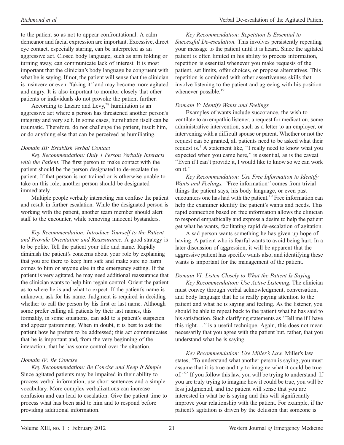to the patient so as not to appear confrontational. A calm demeanor and facial expression are important. Excessive, direct eye contact, especially staring, can be interpreted as an aggressive act. Closed body language, such as arm folding or turning away, can communicate lack of interest. It is most important that the clinician's body language be congruent with what he is saying. If not, the patient will sense that the clinician is insincere or even ''faking it'' and may become more agitated and angry. It is also important to monitor closely that other patients or individuals do not provoke the patient further.

According to Lazare and Levy, $28$  humiliation is an aggressive act where a person has threatened another person's integrity and very self. In some cases, humiliation itself can be traumatic. Therefore, do not challenge the patient, insult him, or do anything else that can be perceived as humiliating.

#### Domain III: Establish Verbal Contact

Key Recommendation: Only 1 Person Verbally Interacts with the Patient. The first person to make contact with the patient should be the person designated to de-escalate the patient. If that person is not trained or is otherwise unable to take on this role, another person should be designated immediately.

Multiple people verbally interacting can confuse the patient and result in further escalation. While the designated person is working with the patient, another team member should alert staff to the encounter, while removing innocent bystanders.

Key Recommendation: Introduce Yourself to the Patient and Provide Orientation and Reassurance. A good strategy is to be polite. Tell the patient your title and name. Rapidly diminish the patient's concerns about your role by explaining that you are there to keep him safe and make sure no harm comes to him or anyone else in the emergency setting. If the patient is very agitated, he may need additional reassurance that the clinician wants to help him regain control. Orient the patient as to where he is and what to expect. If the patient's name is unknown, ask for his name. Judgment is required in deciding whether to call the person by his first or last name. Although some prefer calling all patients by their last names, this formality, in some situations, can add to a patient's suspicion and appear patronizing. When in doubt, it is best to ask the patient how he prefers to be addressed; this act communicates that he is important and, from the very beginning of the interaction, that he has some control over the situation.

#### Domain IV: Be Concise

Key Recommendation: Be Concise and Keep It Simple . Since agitated patients may be impaired in their ability to process verbal information, use short sentences and a simple vocabulary. More complex verbalizations can increase confusion and can lead to escalation. Give the patient time to process what has been said to him and to respond before providing additional information.

Key Recommendation: Repetition Is Essential to Successful De-escalation. This involves persistently repeating your message to the patient until it is heard. Since the agitated patient is often limited in his ability to process information, repetition is essential whenever you make requests of the patient, set limits, offer choices, or propose alternatives. This repetition is combined with other assertiveness skills that involve listening to the patient and agreeing with his position whenever possible.<sup>19</sup>

#### Domain V: Identify Wants and Feelings

Examples of wants include succorance, the wish to ventilate to an empathic listener, a request for medication, some administrative intervention, such as a letter to an employer, or intervening with a difficult spouse or parent. Whether or not the request can be granted, all patients need to be asked what their request is.<sup>1</sup> A statement like, "I really need to know what you expected when you came here," is essential, as is the caveat ''Even if I can't provide it, I would like to know so we can work on it.''

Key Recommendation: Use Free Information to Identify Wants and Feelings. 'Free information'' comes from trivial things the patient says, his body language, or even past encounters one has had with the patient.<sup>19</sup> Free information can help the examiner identify the patient's wants and needs. This rapid connection based on free information allows the clinician to respond empathically and express a desire to help the patient get what he wants, facilitating rapid de-escalation of agitation.

A sad person wants something he has given up hope of having. A patient who is fearful wants to avoid being hurt. In a later discussion of aggression, it will be apparent that the aggressive patient has specific wants also, and identifying these wants is important for the management of the patient.

#### Domain VI: Listen Closely to What the Patient Is Saying

Key Recommendation: Use Active Listening. The clinician must convey through verbal acknowledgment, conversation, and body language that he is really paying attention to the patient and what he is saying and feeling. As the listener, you should be able to repeat back to the patient what he has said to his satisfaction. Such clarifying statements as ''Tell me if I have this right...'' is a useful technique. Again, this does not mean necessarily that you agree with the patient but, rather, that you understand what he is saying.

Key Recommendation: Use Miller's Law. Miller's law states, ''To understand what another person is saying, you must assume that it is true and try to imagine what it could be true of."<sup>25</sup> If you follow this law, you will be trying to understand. If you are truly trying to imagine how it could be true, you will be less judgmental, and the patient will sense that you are interested in what he is saying and this will significantly improve your relationship with the patient. For example, if the patient's agitation is driven by the delusion that someone is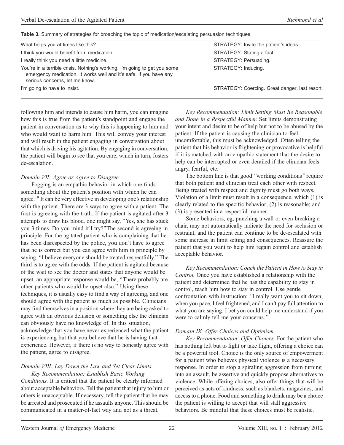Table 3. Summary of strategies for broaching the topic of medication/escalating persuasion techniques.

| What helps you at times like this?                                                                                                                                                | STRATEGY: Invite the patient's ideas.          |
|-----------------------------------------------------------------------------------------------------------------------------------------------------------------------------------|------------------------------------------------|
| I think you would benefit from medication.                                                                                                                                        | STRATEGY: Stating a fact.                      |
| I really think you need a little medicine.                                                                                                                                        | STRATEGY: Persuading.                          |
| You're in a terrible crisis. Nothing's working. I'm going to get you some<br>emergency medication. It works well and it's safe. If you have any<br>serious concerns, let me know. | STRATEGY: Inducing.                            |
| I'm going to have to insist.                                                                                                                                                      | STRATEGY: Coercing. Great danger, last resort. |
|                                                                                                                                                                                   |                                                |

following him and intends to cause him harm, you can imagine how this is true from the patient's standpoint and engage the patient in conversation as to why this is happening to him and who would want to harm him. This will convey your interest and will result in the patient engaging in conversation about that which is driving his agitation. By engaging in conversation, the patient will begin to see that you care, which in turn, fosters de-escalation.

#### Domain VII: Agree or Agree to Disagree

Fogging is an empathic behavior in which one finds something about the patient's position with which he can agree.<sup>19</sup> It can be very effective in developing one's relationship with the patient. There are 3 ways to agree with a patient. The first is agreeing with the truth. If the patient is agitated after 3 attempts to draw his blood, one might say, ''Yes, she has stuck you 3 times. Do you mind if I try?''The second is agreeing in principle. For the agitated patient who is complaining that he has been disrespected by the police, you don't have to agree that he is correct but you can agree with him in principle by saying, ''I believe everyone should be treated respectfully.'' The third is to agree with the odds. If the patient is agitated because of the wait to see the doctor and states that anyone would be upset, an appropriate response would be, ''There probably are other patients who would be upset also.'' Using these techniques, it is usually easy to find a way of agreeing, and one should agree with the patient as much as possible. Clinicians may find themselves in a position where they are being asked to agree with an obvious delusion or something else the clinician can obviously have no knowledge of. In this situation, acknowledge that you have never experienced what the patient is experiencing but that you believe that he is having that experience. However, if there is no way to honestly agree with the patient, agree to disagree.

#### Domain VIII: Lay Down the Law and Set Clear Limits Key Recommendation: Establish Basic Working

Conditions. It is critical that the patient be clearly informed about acceptable behaviors. Tell the patient that injury to him or others is unacceptable. If necessary, tell the patient that he may be arrested and prosecuted if he assaults anyone. This should be communicated in a matter-of-fact way and not as a threat.

Key Recommendation: Limit Setting Must Be Reasonable and Done in a Respectful Manner. Set limits demonstrating your intent and desire to be of help but not to be abused by the patient. If the patient is causing the clinician to feel uncomfortable, this must be acknowledged. Often telling the patient that his behavior is frightening or provocative is helpful if it is matched with an empathic statement that the desire to help can be interrupted or even derailed if the clinician feels angry, fearful, etc.

The bottom line is that good ''working conditions'' require that both patient and clinician treat each other with respect. Being treated with respect and dignity must go both ways. Violation of a limit must result in a consequence, which (1) is clearly related to the specific behavior; (2) is reasonable; and (3) is presented in a respectful manner.

Some behaviors, eg, punching a wall or even breaking a chair, may not automatically indicate the need for seclusion or restraint, and the patient can continue to be de-escalated with some increase in limit setting and consequences. Reassure the patient that you want to help him regain control and establish acceptable behavior.

Key Recommendation: Coach the Patient in How to Stay in Control. Once you have established a relationship with the patient and determined that he has the capability to stay in control, teach him how to stay in control. Use gentle confrontation with instruction: 'T really want you to sit down; when you pace, I feel frightened, and I can't pay full attention to what you are saying. I bet you could help me understand if you were to calmly tell me your concerns.''

#### Domain IX: Offer Choices and Optimism

Key Recommendation: Offer Choices. For the patient who has nothing left but to fight or take flight, offering a choice can be a powerful tool. Choice is the only source of empowerment for a patient who believes physical violence is a necessary response. In order to stop a spiraling aggression from turning into an assault, be assertive and quickly propose alternatives to violence. While offering choices, also offer things that will be perceived as acts of kindness, such as blankets, magazines, and access to a phone. Food and something to drink may be a choice the patient is willing to accept that will stall aggressive behaviors. Be mindful that these choices must be realistic.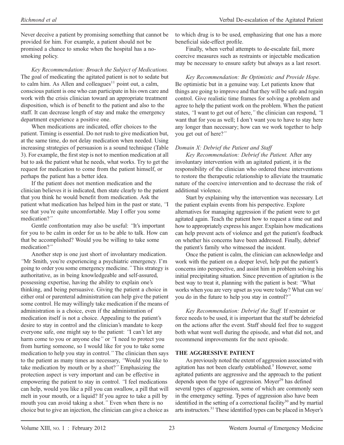Never deceive a patient by promising something that cannot be provided for him. For example, a patient should not be promised a chance to smoke when the hospital has a nosmoking policy.

Key Recommendation: Broach the Subject of Medications. The goal of medicating the agitated patient is not to sedate but to calm him. As Allen and colleagues<sup>11</sup> point out, a calm, conscious patient is one who can participate in his own care and work with the crisis clinician toward an appropriate treatment disposition, which is of benefit to the patient and also to the staff. It can decrease length of stay and make the emergency department experience a positive one.

When medications are indicated, offer choices to the patient. Timing is essential. Do not rush to give medication but, at the same time, do not delay medication when needed. Using increasing strategies of persuasion is a sound technique (Table 3). For example, the first step is not to mention medication at all but to ask the patient what he needs, what works. Try to get the request for medication to come from the patient himself, or perhaps the patient has a better idea.

If the patient does not mention medication and the clinician believes it is indicated, then state clearly to the patient that you think he would benefit from medication. Ask the patient what medication has helped him in the past or state, ''I see that you're quite uncomfortable. May I offer you some medication?''

Gentle confrontation may also be useful: ''It's important for you to be calm in order for us to be able to talk. How can that be accomplished? Would you be willing to take some medication?''

Another step is one just short of involuntary medication. ''Mr Smith, you're experiencing a psychiatric emergency. I'm going to order you some emergency medicine.'' This strategy is authoritative, as in being knowledgeable and self-assured, possessing expertise, having the ability to explain one's thinking, and being persuasive. Giving the patient a choice in either oral or parenteral administration can help give the patient some control. He may willingly take medication if the means of administration is a choice, even if the administration of medication itself is not a choice. Appealing to the patient's desire to stay in control and the clinician's mandate to keep everyone safe, one might say to the patient: ''I can't let any harm come to you or anyone else" or "I need to protect you from hurting someone, so I would like for you to take some medication to help you stay in control.'' The clinician then says to the patient as many times as necessary, ''Would you like to take medication by mouth or by a shot?'' Emphasizing the protection aspect is very important and can be effective in empowering the patient to stay in control. "I feel medications can help, would you like a pill you can swallow, a pill that will melt in your mouth, or a liquid? If you agree to take a pill by mouth you can avoid taking a shot.'' Even when there is no choice but to give an injection, the clinician can give a choice as

to which drug is to be used, emphasizing that one has a more beneficial side-effect profile.

Finally, when verbal attempts to de-escalate fail, more coercive measures such as restraints or injectable medication may be necessary to ensure safety but always as a last resort.

Key Recommendation: Be Optimistic and Provide Hope. Be optimistic but in a genuine way. Let patients know that things are going to improve and that they will be safe and regain control. Give realistic time frames for solving a problem and agree to help the patient work on the problem. When the patient states, "I want to get out of here," the clinician can respond, "I want that for you as well; I don't want you to have to stay here any longer than necessary; how can we work together to help you get out of here?''

#### Domain X: Debrief the Patient and Staff

Key Recommendation: Debrief the Patient. After any involuntary intervention with an agitated patient, it is the responsibility of the clinician who ordered these interventions to restore the therapeutic relationship to alleviate the traumatic nature of the coercive intervention and to decrease the risk of additional violence.

Start by explaining why the intervention was necessary. Let the patient explain events from his perspective. Explore alternatives for managing aggression if the patient were to get agitated again. Teach the patient how to request a time out and how to appropriately express his anger. Explain how medications can help prevent acts of violence and get the patient's feedback on whether his concerns have been addressed. Finally, debrief the patient's family who witnessed the incident.

Once the patient is calm, the clinician can acknowledge and work with the patient on a deeper level, help put the patient's concerns into perspective, and assist him in problem solving his initial precipitating situation. Since prevention of agitation is the best way to treat it, planning with the patient is best: ''What works when you are very upset as you were today? What can we/ you do in the future to help you stay in control?''

Key Recommendation: Debrief the Staff. If restraint or force needs to be used, it is important that the staff be debriefed on the actions after the event. Staff should feel free to suggest both what went well during the episode, and what did not, and recommend improvements for the next episode.

#### THE AGGRESSIVE PATIENT

As previously noted the extent of aggression associated with agitation has not been clearly established.<sup>5</sup> However, some agitated patients are aggressive and the approach to the patient depends upon the type of aggression. Moyer $2<sup>9</sup>$  has defined several types of aggression, some of which are commonly seen in the emergency setting. Types of aggression also have been identified in the setting of a correctional facility<sup>30</sup> and by martial arts instructors.31 These identified types can be placed in Moyer's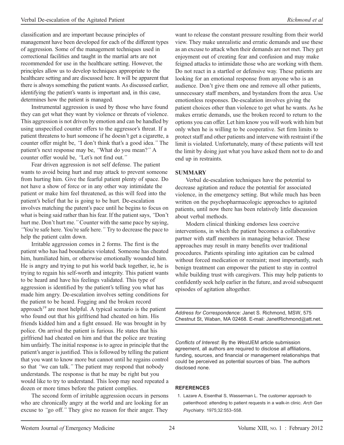classification and are important because principles of management have been developed for each of the different types of aggression. Some of the management techniques used in correctional facilities and taught in the martial arts are not recommended for use in the healthcare setting. However, the principles allow us to develop techniques appropriate to the healthcare setting and are discussed here. It will be apparent that there is always something the patient wants. As discussed earlier, identifying the patient's wants is important and, in this case, determines how the patient is managed.

Instrumental aggression is used by those who have found they can get what they want by violence or threats of violence. This aggression is not driven by emotion and can be handled by using unspecified counter offers to the aggressor's threat. If a patient threatens to hurt someone if he doesn't get a cigarette, a counter offer might be, "I don't think that's a good idea." The patient's next response may be, ''What do you mean?'' A counter offer would be, ''Let's not find out.''

Fear driven aggression is not self defense. The patient wants to avoid being hurt and may attack to prevent someone from hurting him. Give the fearful patient plenty of space. Do not have a show of force or in any other way intimidate the patient or make him feel threatened, as this will feed into the patient's belief that he is going to be hurt. De-escalation involves matching the patent's pace until he begins to focus on what is being said rather than his fear. If the patient says, ''Don't hurt me. Don't hurt me.'' Counter with the same pace by saying, ''You're safe here. You're safe here.'' Try to decrease the pace to help the patient calm down.

Irritable aggression comes in 2 forms. The first is the patient who has had boundaries violated. Someone has cheated him, humiliated him, or otherwise emotionally wounded him. He is angry and trying to put his world back together, ie, he is trying to regain his self-worth and integrity. This patient wants to be heard and have his feelings validated. This type of aggression is identified by the patient's telling you what has made him angry. De-escalation involves setting conditions for the patient to be heard. Fogging and the broken record approach<sup>19</sup> are most helpful. A typical scenario is the patient who found out that his girlfriend had cheated on him. His friends kidded him and a fight ensued. He was brought in by police. On arrival the patient is furious. He states that his girlfriend had cheated on him and that the police are treating him unfairly. The initial response is to agree in principle that the patient's anger is justified. This is followed by telling the patient that you want to know more but cannot until he regains control so that ''we can talk.'' The patient may respond that nobody understands. The response is that he may be right but you would like to try to understand. This loop may need repeated a dozen or more times before the patient complies.

The second form of irritable aggression occurs in persons who are chronically angry at the world and are looking for an excuse to ''go off.'' They give no reason for their anger. They

want to release the constant pressure resulting from their world view. They make unrealistic and erratic demands and use these as an excuse to attack when their demands are not met. They get enjoyment out of creating fear and confusion and may make feigned attacks to intimidate those who are working with them. Do not react in a startled or defensive way. These patients are looking for an emotional response from anyone who is an audience. Don't give them one and remove all other patients, unnecessary staff members, and bystanders from the area. Use emotionless responses. De-escalation involves giving the patient choices other than violence to get what he wants. As he makes erratic demands, use the broken record to return to the options you can offer. Let him know you will work with him but only when he is willing to be cooperative. Set firm limits to protect staff and other patients and intervene with restraint if the limit is violated. Unfortunately, many of these patients will test the limit by doing just what you have asked them not to do and end up in restraints.

#### SUMMARY

Verbal de-escalation techniques have the potential to decrease agitation and reduce the potential for associated violence, in the emergency setting. But while much has been written on the psychopharmacologic approaches to agitated patients, until now there has been relatively little discussion about verbal methods.

Modern clinical thinking endorses less coercive interventions, in which the patient becomes a collaborative partner with staff members in managing behavior. These approaches may result in many benefits over traditional procedures. Patients spiraling into agitation can be calmed without forced medication or restraint; most importantly, such benign treatment can empower the patient to stay in control while building trust with caregivers. This may help patients to confidently seek help earlier in the future, and avoid subsequent episodes of agitation altogether.

Address for Correspondence: Janet S. Richmond, MSW, 575 Chestnut St, Waban, MA 02468. E-mail: JanetRichmond@att.net.

Conflicts of Interest: By the WestJEM article submission agreement, all authors are required to disclose all affiliations, funding, sources, and financial or management relationships that could be perceived as potential sources of bias. The authors disclosed none.

#### REFERENCES

1. Lazare A, Eisenthal S, Wasserman L. The customer approach to patienthood: attending to patient requests in a walk-in clinic. Arch Gen Psychiatry. 1975;32:553–558.